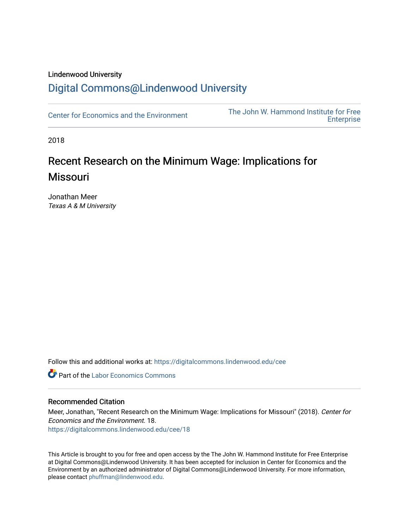## Lindenwood University

# [Digital Commons@Lindenwood University](https://digitalcommons.lindenwood.edu/)

[Center for Economics and the Environment](https://digitalcommons.lindenwood.edu/cee) The John W. Hammond Institute for Free **Enterprise** 

2018

# Recent Research on the Minimum Wage: Implications for Missouri

Jonathan Meer Texas A & M University

Follow this and additional works at: [https://digitalcommons.lindenwood.edu/cee](https://digitalcommons.lindenwood.edu/cee?utm_source=digitalcommons.lindenwood.edu%2Fcee%2F18&utm_medium=PDF&utm_campaign=PDFCoverPages)

**C** Part of the [Labor Economics Commons](http://network.bepress.com/hgg/discipline/349?utm_source=digitalcommons.lindenwood.edu%2Fcee%2F18&utm_medium=PDF&utm_campaign=PDFCoverPages)

#### Recommended Citation

Meer, Jonathan, "Recent Research on the Minimum Wage: Implications for Missouri" (2018). Center for Economics and the Environment. 18. [https://digitalcommons.lindenwood.edu/cee/18](https://digitalcommons.lindenwood.edu/cee/18?utm_source=digitalcommons.lindenwood.edu%2Fcee%2F18&utm_medium=PDF&utm_campaign=PDFCoverPages) 

This Article is brought to you for free and open access by the The John W. Hammond Institute for Free Enterprise at Digital Commons@Lindenwood University. It has been accepted for inclusion in Center for Economics and the Environment by an authorized administrator of Digital Commons@Lindenwood University. For more information, please contact [phuffman@lindenwood.edu.](mailto:phuffman@lindenwood.edu)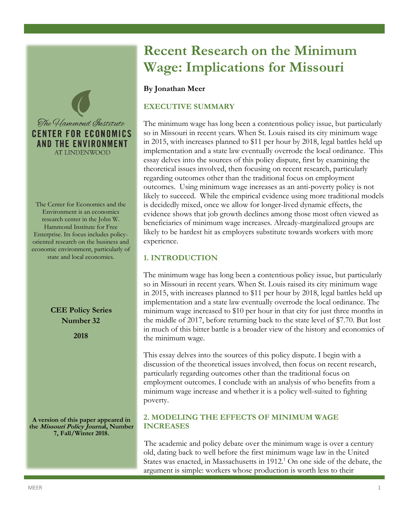

The Center for Economics and the Environment is an economics research center in the John W. Hammond Institute for Free Enterprise. Its focus includes policyoriented research on the business and economic environment, particularly of state and local economies.

> **CEE Policy Series Number 32**

> > **2018**

**A version of this paper appeared in the Missouri Policy Journal, Number 7, Fall/Winter 2018.**

# **Recent Research on the Minimum Wage: Implications for Missouri**

## **By Jonathan Meer**

# **EXECUTIVE SUMMARY**

The minimum wage has long been a contentious policy issue, but particularly so in Missouri in recent years. When St. Louis raised its city minimum wage in 2015, with increases planned to \$11 per hour by 2018, legal battles held up implementation and a state law eventually overrode the local ordinance. This essay delves into the sources of this policy dispute, first by examining the theoretical issues involved, then focusing on recent research, particularly regarding outcomes other than the traditional focus on employment outcomes. Using minimum wage increases as an anti-poverty policy is not likely to succeed. While the empirical evidence using more traditional models is decidedly mixed, once we allow for longer-lived dynamic effects, the evidence shows that job growth declines among those most often viewed as beneficiaries of minimum wage increases. Already-marginalized groups are likely to be hardest hit as employers substitute towards workers with more experience.

# **1. INTRODUCTION**

The minimum wage has long been a contentious policy issue, but particularly so in Missouri in recent years. When St. Louis raised its city minimum wage in 2015, with increases planned to \$11 per hour by 2018, legal battles held up implementation and a state law eventually overrode the local ordinance. The minimum wage increased to \$10 per hour in that city for just three months in the middle of 2017, before returning back to the state level of \$7.70. But lost in much of this bitter battle is a broader view of the history and economics of the minimum wage.

This essay delves into the sources of this policy dispute. I begin with a discussion of the theoretical issues involved, then focus on recent research, particularly regarding outcomes other than the traditional focus on employment outcomes. I conclude with an analysis of who benefits from a minimum wage increase and whether it is a policy well-suited to fighting poverty.

# **2. MODELING THE EFFECTS OF MINIMUM WAGE INCREASES**

The academic and policy debate over the minimum wage is over a century old, dating back to well before the first minimum wage law in the United States was enacted, in Massachusetts in 1912.<sup>1</sup> On one side of the debate, the argument is simple: workers whose production is worth less to their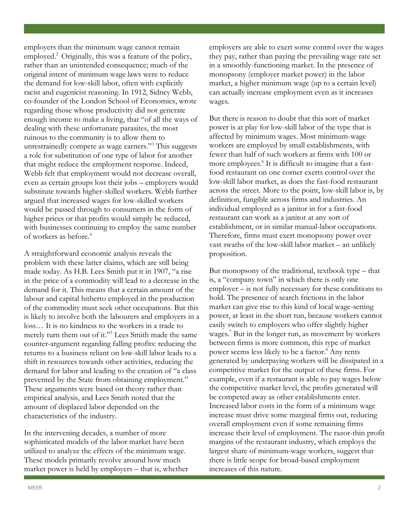employers than the minimum wage cannot remain employed.<sup>2</sup> Originally, this was a feature of the policy, rather than an unintended consequence; much of the original intent of minimum wage laws were to reduce the demand for low-skill labor, often with explicitly racist and eugenicist reasoning. In 1912, Sidney Webb, co-founder of the London School of Economics, wrote regarding those whose productivity did not generate enough income to make a living, that "of all the ways of dealing with these unfortunate parasites, the most ruinous to the community is to allow them to unrestrainedly compete as wage earners."<sup>3</sup> This suggests a role for substitution of one type of labor for another that might reduce the employment response. Indeed, Webb felt that employment would not decrease overall, even as certain groups lost their jobs – employers would substitute towards higher-skilled workers. Webb further argued that increased wages for low-skilled workers would be passed through to consumers in the form of higher prices or that profits would simply be reduced, with businesses continuing to employ the same number of workers as before.<sup>4</sup>

A straightforward economic analysis reveals the problem with these latter claims, which are still being made today. As H.B. Lees Smith put it in 1907, "a rise in the price of a commodity will lead to a decrease in the demand for it. This means that a certain amount of the labour and capital hitherto employed in the production of the commodity must seek other occupations. But this is likely to involve both the labourers and employers in a loss… It is no kindness to the workers in a trade to merely turn them out of it."<sup>5</sup> Lees Smith made the same counter-argument regarding falling profits: reducing the returns to a business reliant on low-skill labor leads to a shift in resources towards other activities, reducing the demand for labor and leading to the creation of "a class prevented by the State from obtaining employment." These arguments were based on theory rather than empirical analysis, and Lees Smith noted that the amount of displaced labor depended on the characteristics of the industry.

In the intervening decades, a number of more sophisticated models of the labor market have been utilized to analyze the effects of the minimum wage. These models primarily revolve around how much market power is held by employers – that is, whether

 $\blacksquare$  MEER  $\blacksquare$ 

employers are able to exert some control over the wages they pay, rather than paying the prevailing wage rate set in a smoothly-functioning market. In the presence of monopsony (employer market power) in the labor market, a higher minimum wage (up to a certain level) can actually increase employment even as it increases wages.

But there is reason to doubt that this sort of market power is at play for low-skill labor of the type that is affected by minimum wages. Most minimum-wage workers are employed by small establishments, with fewer than half of such workers at firms with 100 or more employees.<sup>6</sup> It is difficult to imagine that a fastfood restaurant on one corner exerts control over the low-skill labor market, as does the fast-food restaurant across the street. More to the point, low-skill labor is, by definition, fungible across firms and industries. An individual employed as a janitor in for a fast-food restaurant can work as a janitor at any sort of establishment, or in similar manual-labor occupations. Therefore, firms must exert monopsony power over vast swaths of the low-skill labor market – an unlikely proposition.

But monopsony of the traditional, textbook type – that is, a "company town" in which there is only one employer – is not fully necessary for these conditions to hold. The presence of search frictions in the labor market can give rise to this kind of local wage-setting power, at least in the short run, because workers cannot easily switch to employers who offer slightly higher wages.<sup>7</sup> But in the longer run, as movement by workers between firms is more common, this type of market power seems less likely to be a factor.<sup>8</sup> Any rents generated by underpaying workers will be dissipated in a competitive market for the output of these firms. For example, even if a restaurant is able to pay wages below the competitive market level, the profits generated will be competed away as other establishments enter. Increased labor costs in the form of a minimum wage increase must drive some marginal firms out, reducing overall employment even if some remaining firms increase their level of employment. The razor-thin profit margins of the restaurant industry, which employs the largest share of minimum-wage workers, suggest that there is little scope for broad-based employment increases of this nature.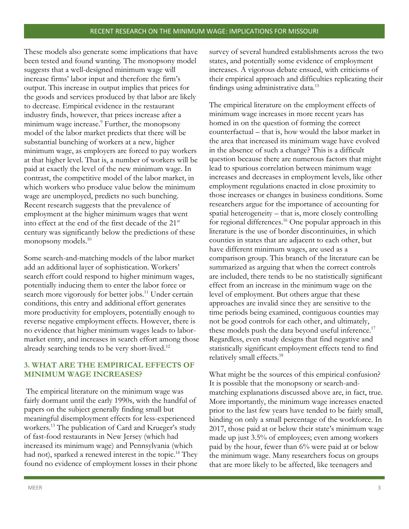These models also generate some implications that have been tested and found wanting. The monopsony model suggests that a well-designed minimum wage will increase firms' labor input and therefore the firm's output. This increase in output implies that prices for the goods and services produced by that labor are likely to decrease. Empirical evidence in the restaurant industry finds, however, that prices increase after a minimum wage increase.<sup>9</sup> Further, the monopsony model of the labor market predicts that there will be substantial bunching of workers at a new, higher minimum wage, as employers are forced to pay workers at that higher level. That is, a number of workers will be paid at exactly the level of the new minimum wage. In contrast, the competitive model of the labor market, in which workers who produce value below the minimum wage are unemployed, predicts no such bunching. Recent research suggests that the prevalence of employment at the higher minimum wages that went into effect at the end of the first decade of the 21<sup>st</sup> century was significantly below the predictions of these monopsony models.<sup>10</sup>

Some search-and-matching models of the labor market add an additional layer of sophistication. Workers' search effort could respond to higher minimum wages, potentially inducing them to enter the labor force or search more vigorously for better jobs.<sup>11</sup> Under certain conditions, this entry and additional effort generates more productivity for employers, potentially enough to reverse negative employment effects. However, there is no evidence that higher minimum wages leads to labormarket entry, and increases in search effort among those already searching tends to be very short-lived.<sup>12</sup>

# **3. WHAT ARE THE EMPIRICAL EFFECTS OF MINIMUM WAGE INCREASES?**

The empirical literature on the minimum wage was fairly dormant until the early 1990s, with the handful of papers on the subject generally finding small but meaningful disemployment effects for less-experienced workers.<sup>13</sup> The publication of Card and Krueger's study of fast-food restaurants in New Jersey (which had increased its minimum wage) and Pennsylvania (which had not), sparked a renewed interest in the topic.<sup>14</sup> They found no evidence of employment losses in their phone

survey of several hundred establishments across the two states, and potentially some evidence of employment increases. A vigorous debate ensued, with criticisms of their empirical approach and difficulties replicating their findings using administrative data.<sup>15</sup>

The empirical literature on the employment effects of minimum wage increases in more recent years has homed in on the question of forming the correct counterfactual – that is, how would the labor market in the area that increased its minimum wage have evolved in the absence of such a change? This is a difficult question because there are numerous factors that might lead to spurious correlation between minimum wage increases and decreases in employment levels, like other employment regulations enacted in close proximity to those increases or changes in business conditions. Some researchers argue for the importance of accounting for spatial heterogeneity – that is, more closely controlling for regional differences.<sup>16</sup> One popular approach in this literature is the use of border discontinuities, in which counties in states that are adjacent to each other, but have different minimum wages, are used as a comparison group. This branch of the literature can be summarized as arguing that when the correct controls are included, there tends to be no statistically significant effect from an increase in the minimum wage on the level of employment. But others argue that these approaches are invalid since they are sensitive to the time periods being examined, contiguous counties may not be good controls for each other, and ultimately, these models push the data beyond useful inference.<sup>17</sup> Regardless, even study designs that find negative and statistically significant employment effects tend to find relatively small effects.<sup>18</sup>

What might be the sources of this empirical confusion? It is possible that the monopsony or search-andmatching explanations discussed above are, in fact, true. More importantly, the minimum wage increases enacted prior to the last few years have tended to be fairly small, binding on only a small percentage of the workforce. In 2017, those paid at or below their state's minimum wage made up just 3.5% of employees; even among workers paid by the hour, fewer than 6% were paid at or below the minimum wage. Many researchers focus on groups that are more likely to be affected, like teenagers and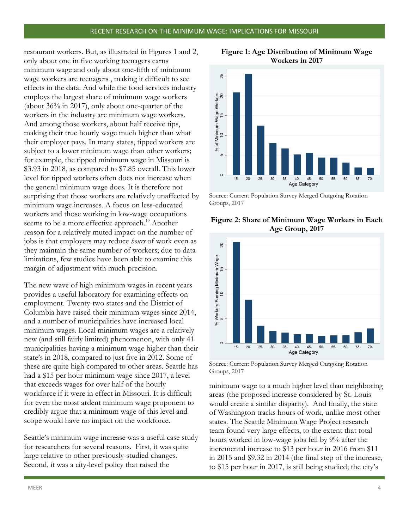restaurant workers. But, as illustrated in Figures 1 and 2, only about one in five working teenagers earns minimum wage and only about one-fifth of minimum wage workers are teenagers , making it difficult to see effects in the data. And while the food services industry employs the largest share of minimum wage workers (about 36% in 2017), only about one-quarter of the workers in the industry are minimum wage workers. And among those workers, about half receive tips, making their true hourly wage much higher than what their employer pays. In many states, tipped workers are subject to a lower minimum wage than other workers; for example, the tipped minimum wage in Missouri is \$3.93 in 2018, as compared to \$7.85 overall. This lower level for tipped workers often does not increase when the general minimum wage does. It is therefore not surprising that those workers are relatively unaffected by minimum wage increases. A focus on less-educated workers and those working in low-wage occupations seems to be a more effective approach.<sup>19</sup> Another reason for a relatively muted impact on the number of jobs is that employers may reduce *hours* of work even as they maintain the same number of workers; due to data limitations, few studies have been able to examine this margin of adjustment with much precision.

The new wave of high minimum wages in recent years provides a useful laboratory for examining effects on employment. Twenty-two states and the District of Columbia have raised their minimum wages since 2014, and a number of municipalities have increased local minimum wages. Local minimum wages are a relatively new (and still fairly limited) phenomenon, with only 41 municipalities having a minimum wage higher than their state's in 2018, compared to just five in 2012. Some of these are quite high compared to other areas. Seattle has had a \$15 per hour minimum wage since 2017, a level Groups, 2017 that exceeds wages for over half of the hourly workforce if it were in effect in Missouri. It is difficult for even the most ardent minimum wage proponent to credibly argue that a minimum wage of this level and scope would have no impact on the workforce.

Seattle's minimum wage increase was a useful case study for researchers for several reasons. First, it was quite large relative to other previously-studied changes. Second, it was a city-level policy that raised the



**Figure 1: Age Distribution of Minimum Wage Workers in 2017**

Source: Current Population Survey Merged Outgoing Rotation Groups, 2017

#### **Figure 2: Share of Minimum Wage Workers in Each Age Group, 2017**



Source: Current Population Survey Merged Outgoing Rotation

minimum wage to a much higher level than neighboring areas (the proposed increase considered by St. Louis would create a similar disparity). And finally, the state of Washington tracks hours of work, unlike most other states. The Seattle Minimum Wage Project research team found very large effects, to the extent that total hours worked in low-wage jobs fell by 9% after the incremental increase to \$13 per hour in 2016 from \$11 in 2015 and \$9.32 in 2014 (the final step of the increase, to \$15 per hour in 2017, is still being studied; the city's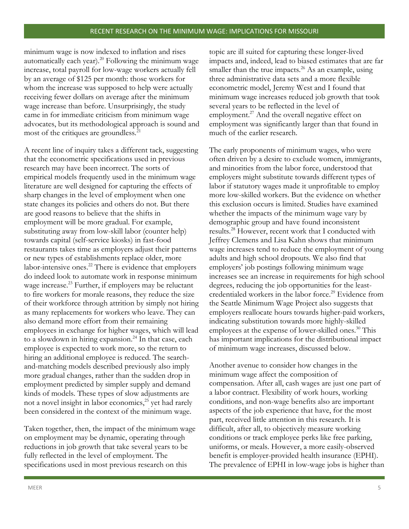minimum wage is now indexed to inflation and rises automatically each year). $^{20}$  Following the minimum wage increase, total payroll for low-wage workers actually fell by an average of \$125 per month: those workers for whom the increase was supposed to help were actually receiving fewer dollars on average after the minimum wage increase than before. Unsurprisingly, the study came in for immediate criticism from minimum wage advocates, but its methodological approach is sound and most of the critiques are groundless.<sup>21</sup>

A recent line of inquiry takes a different tack, suggesting that the econometric specifications used in previous research may have been incorrect. The sorts of empirical models frequently used in the minimum wage literature are well designed for capturing the effects of sharp changes in the level of employment when one state changes its policies and others do not. But there are good reasons to believe that the shifts in employment will be more gradual. For example, substituting away from low-skill labor (counter help) towards capital (self-service kiosks) in fast-food restaurants takes time as employers adjust their patterns or new types of establishments replace older, more labor-intensive ones.<sup>22</sup> There is evidence that employers do indeed look to automate work in response minimum wage increase.<sup>23</sup> Further, if employers may be reluctant to fire workers for morale reasons, they reduce the size of their workforce through attrition by simply not hiring as many replacements for workers who leave. They can also demand more effort from their remaining employees in exchange for higher wages, which will lead to a slowdown in hiring expansion.<sup>24</sup> In that case, each employee is expected to work more, so the return to hiring an additional employee is reduced. The searchand-matching models described previously also imply more gradual changes, rather than the sudden drop in employment predicted by simpler supply and demand kinds of models. These types of slow adjustments are not a novel insight in labor economics,<sup>25</sup> yet had rarely been considered in the context of the minimum wage.

Taken together, then, the impact of the minimum wage on employment may be dynamic, operating through reductions in job growth that take several years to be fully reflected in the level of employment. The specifications used in most previous research on this

topic are ill suited for capturing these longer-lived impacts and, indeed, lead to biased estimates that are far smaller than the true impacts.<sup>26</sup> As an example, using three administrative data sets and a more flexible econometric model, Jeremy West and I found that minimum wage increases reduced job growth that took several years to be reflected in the level of employment.<sup>27</sup> And the overall negative effect on employment was significantly larger than that found in much of the earlier research.

The early proponents of minimum wages, who were often driven by a desire to exclude women, immigrants, and minorities from the labor force, understood that employers might substitute towards different types of labor if statutory wages made it unprofitable to employ more low-skilled workers. But the evidence on whether this exclusion occurs is limited. Studies have examined whether the impacts of the minimum wage vary by demographic group and have found inconsistent results.<sup>28</sup> However, recent work that I conducted with Jeffrey Clemens and Lisa Kahn shows that minimum wage increases tend to reduce the employment of young adults and high school dropouts. We also find that employers' job postings following minimum wage increases see an increase in requirements for high school degrees, reducing the job opportunities for the leastcredentialed workers in the labor force.<sup>29</sup> Evidence from the Seattle Minimum Wage Project also suggests that employers reallocate hours towards higher-paid workers, indicating substitution towards more highly-skilled employees at the expense of lower-skilled ones.<sup>30</sup> This has important implications for the distributional impact of minimum wage increases, discussed below.

Another avenue to consider how changes in the minimum wage affect the composition of compensation. After all, cash wages are just one part of a labor contract. Flexibility of work hours, working conditions, and non-wage benefits also are important aspects of the job experience that have, for the most part, received little attention in this research. It is difficult, after all, to objectively measure working conditions or track employee perks like free parking, uniforms, or meals. However, a more easily-observed benefit is employer-provided health insurance (EPHI). The prevalence of EPHI in low-wage jobs is higher than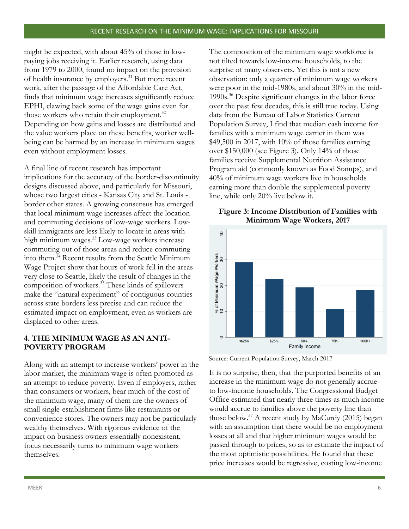might be expected, with about 45% of those in lowpaying jobs receiving it. Earlier research, using data from 1979 to 2000, found no impact on the provision of health insurance by employers.<sup>31</sup> But more recent work, after the passage of the Affordable Care Act, finds that minimum wage increases significantly reduce EPHI, clawing back some of the wage gains even for those workers who retain their employment.<sup>32</sup> Depending on how gains and losses are distributed and the value workers place on these benefits, worker wellbeing can be harmed by an increase in minimum wages even without employment losses.

A final line of recent research has important implications for the accuracy of the border-discontinuity designs discussed above, and particularly for Missouri, whose two largest cities - Kansas City and St. Louis border other states. A growing consensus has emerged that local minimum wage increases affect the location and commuting decisions of low-wage workers. Lowskill immigrants are less likely to locate in areas with high minimum wages.<sup>33</sup> Low-wage workers increase commuting out of those areas and reduce commuting into them.<sup>34</sup> Recent results from the Seattle Minimum Wage Project show that hours of work fell in the areas very close to Seattle, likely the result of changes in the composition of workers.<sup>35</sup> These kinds of spillovers make the "natural experiment" of contiguous counties across state borders less precise and can reduce the estimated impact on employment, even as workers are displaced to other areas.

# **4. THE MINIMUM WAGE AS AN ANTI-POVERTY PROGRAM**

Along with an attempt to increase workers' power in the labor market, the minimum wage is often promoted as an attempt to reduce poverty. Even if employers, rather than consumers or workers, bear much of the cost of the minimum wage, many of them are the owners of small single-establishment firms like restaurants or convenience stores. The owners may not be particularly wealthy themselves. With rigorous evidence of the impact on business owners essentially nonexistent, focus necessarily turns to minimum wage workers themselves.

The composition of the minimum wage workforce is not tilted towards low-income households, to the surprise of many observers. Yet this is not a new observation: only a quarter of minimum wage workers were poor in the mid-1980s, and about 30% in the mid-1990s.<sup>36</sup> Despite significant changes in the labor force over the past few decades, this is still true today. Using data from the Bureau of Labor Statistics Current Population Survey, I find that median cash income for families with a minimum wage earner in them was \$49,500 in 2017, with 10% of those families earning over \$150,000 (see Figure 3). Only 14% of those families receive Supplemental Nutrition Assistance Program aid (commonly known as Food Stamps), and 40% of minimum wage workers live in households earning more than double the supplemental poverty line, while only 20% live below it.



#### **Figure 3: Income Distribution of Families with Minimum Wage Workers, 2017**

Source: Current Population Survey, March 2017

It is no surprise, then, that the purported benefits of an increase in the minimum wage do not generally accrue to low-income households. The Congressional Budget Office estimated that nearly three times as much income would accrue to families above the poverty line than those below.<sup>37</sup> A recent study by MaCurdy (2015) began with an assumption that there would be no employment losses at all and that higher minimum wages would be passed through to prices, so as to estimate the impact of the most optimistic possibilities. He found that these price increases would be regressive, costing low-income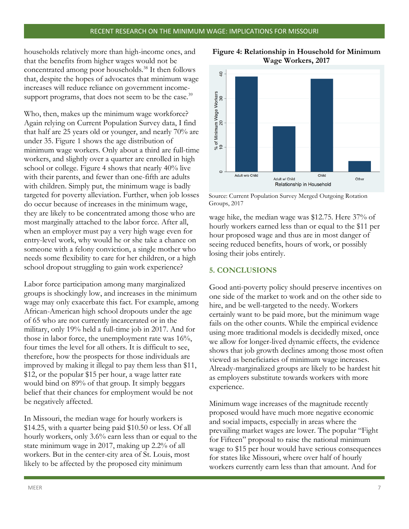households relatively more than high-income ones, and that the benefits from higher wages would not be concentrated among poor households.<sup>38</sup> It then follows that, despite the hopes of advocates that minimum wage increases will reduce reliance on government incomesupport programs, that does not seem to be the case.<sup>39</sup>

Who, then, makes up the minimum wage workforce? Again relying on Current Population Survey data, I find that half are 25 years old or younger, and nearly 70% are under 35. Figure 1 shows the age distribution of minimum wage workers. Only about a third are full-time workers, and slightly over a quarter are enrolled in high school or college. Figure 4 shows that nearly 40% live with their parents, and fewer than one-fifth are adults with children. Simply put, the minimum wage is badly targeted for poverty alleviation. Further, when job losses do occur because of increases in the minimum wage, Groups, 2017they are likely to be concentrated among those who are most marginally attached to the labor force. After all, when an employer must pay a very high wage even for entry-level work, why would he or she take a chance on someone with a felony conviction, a single mother who needs some flexibility to care for her children, or a high school dropout struggling to gain work experience?

Labor force participation among many marginalized groups is shockingly low, and increases in the minimum wage may only exacerbate this fact. For example, among African-American high school dropouts under the age of 65 who are not currently incarcerated or in the military, only 19% held a full-time job in 2017. And for those in labor force, the unemployment rate was 16%, four times the level for all others. It is difficult to see, therefore, how the prospects for those individuals are improved by making it illegal to pay them less than \$11, \$12, or the popular \$15 per hour, a wage latter rate would bind on 89% of that group. It simply beggars belief that their chances for employment would be not be negatively affected.

In Missouri, the median wage for hourly workers is \$14.25, with a quarter being paid \$10.50 or less. Of all hourly workers, only 3.6% earn less than or equal to the state minimum wage in 2017, making up 2.2% of all workers. But in the center-city area of St. Louis, most likely to be affected by the proposed city minimum



**Figure 4: Relationship in Household for Minimum Wage Workers, 2017**

Source: Current Population Survey Merged Outgoing Rotation

wage hike, the median wage was \$12.75. Here 37% of hourly workers earned less than or equal to the \$11 per hour proposed wage and thus are in most danger of seeing reduced benefits, hours of work, or possibly losing their jobs entirely.

#### **5. CONCLUSIONS**

Good anti-poverty policy should preserve incentives on one side of the market to work and on the other side to hire, and be well-targeted to the needy. Workers certainly want to be paid more, but the minimum wage fails on the other counts. While the empirical evidence using more traditional models is decidedly mixed, once we allow for longer-lived dynamic effects, the evidence shows that job growth declines among those most often viewed as beneficiaries of minimum wage increases. Already-marginalized groups are likely to be hardest hit as employers substitute towards workers with more experience.

Minimum wage increases of the magnitude recently proposed would have much more negative economic and social impacts, especially in areas where the prevailing market wages are lower. The popular "Fight for Fifteen" proposal to raise the national minimum wage to \$15 per hour would have serious consequences for states like Missouri, where over half of hourly workers currently earn less than that amount. And for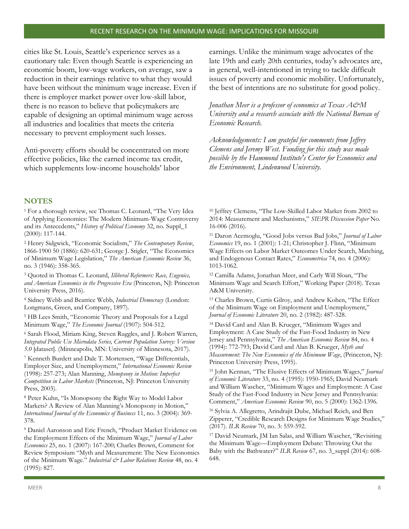cities like St. Louis, Seattle's experience serves as a cautionary tale: Even though Seattle is experiencing an economic boom, low-wage workers, on average, saw a reduction in their earnings relative to what they would have been without the minimum wage increase. Even if there is employer market power over low-skill labor, there is no reason to believe that policymakers are capable of designing an optimal minimum wage across all industries and localities that meets the criteria necessary to prevent employment such losses.

Anti-poverty efforts should be concentrated on more effective policies, like the earned income tax credit, which supplements low-income households' labor

earnings. Unlike the minimum wage advocates of the late 19th and early 20th centuries, today's advocates are, in general, well-intentioned in trying to tackle difficult issues of poverty and economic mobility. Unfortunately, the best of intentions are no substitute for good policy.

*Jonathan Meer is a professor of economics at Texas A&M University and a research associate with the National Bureau of Economic Research.*

*Acknowledgements: I am grateful for comments from Jeffrey Clemens and Jeremy West. Funding for this study was made possible by the Hammond Institute's Center for Economics and the Environment, Lindenwood University.*

#### **NOTES**

<sup>1</sup> For a thorough review, see Thomas C. Leonard, "The Very Idea of Applying Economics: The Modern Minimum-Wage Controversy and its Antecedents," *History of Political Economy* 32, no. Suppl\_1 (2000): 117-144.

<sup>2</sup> Henry Sidgwick, "Economic Socialism," *The Contemporary Review*, 1866-1900 50 (1886): 620-631; George J. Stigler, "The Economics of Minimum Wage Legislation," *The American Economic Review* 36, no. 3 (1946): 358-365.

<sup>3</sup> Quoted in Thomas C. Leonard, *Illiberal Reformers: Race, Eugenics, and American Economics in the Progressive Era* (Princeton, NJ: Princeton University Press, 2016).

<sup>4</sup> Sidney Webb and Beatrice Webb, *Industrial Democracy* (London: Longmans, Green, and Company, 1897).

<sup>5</sup> HB Lees Smith, "Economic Theory and Proposals for a Legal Minimum Wage," *The Economic Journal* (1907): 504-512.

<sup>6</sup> Sarah Flood, Miriam King, Steven Ruggles, and J. Robert Warren, *Integrated Public Use Microdata Series, Current Population Survey: Version 5.0* [dataset]. (Minneapolis, MN: University of Minnesota, 2017).

<sup>7</sup> Kenneth Burdett and Dale T. Mortensen, "Wage Differentials, Employer Size, and Unemployment," *International Economic Review* (1998): 257-273; Alan Manning, *Monopsony in Motion: Imperfect Competition in Labor Markets* (Princeton, NJ: Princeton University Press, 2003).

<sup>8</sup> Peter Kuhn, "Is Monopsony the Right Way to Model Labor Markets? A Review of Alan Manning's Monopsony in Motion," *International Journal of the Economics of Business* 11, no. 3 (2004): 369- 378.

<sup>9</sup> Daniel Aaronson and Eric French, "Product Market Evidence on the Employment Effects of the Minimum Wage," *Journal of Labor Economics* 25, no. 1 (2007): 167-200; Charles Brown, Comment for Review Symposium "Myth and Measurement: The New Economics of the Minimum Wage." *Industrial & Labor Relations Review* 48, no. 4 (1995): 827.

<sup>10</sup> Jeffrey Clemens, "The Low-Skilled Labor Market from 2002 to 2014: Measurement and Mechanisms," *SIEPR Discussion Paper* No. 16-006 (2016).

<sup>11</sup> Daron Acemoglu, "Good Jobs versus Bad Jobs," *Journal of Labor Economics* 19, no. 1 (2001): 1-21; Christopher J. Flinn, "Minimum Wage Effects on Labor Market Outcomes Under Search, Matching, and Endogenous Contact Rates," *Econometrica* 74, no. 4 (2006): 1013-1062.

<sup>12</sup> Camilla Adams, Jonathan Meer, and Carly Will Sloan, "The Minimum Wage and Search Effort," Working Paper (2018). Texas A&M University.

<sup>13</sup> Charles Brown, Curtis Gilroy, and Andrew Kohen, "The Effect of the Minimum Wage on Employment and Unemployment," *Journal of Economic Literature* 20, no. 2 (1982): 487-528.

<sup>14</sup> David Card and Alan B. Krueger, "Minimum Wages and Employment: A Case Study of the Fast-Food Industry in New Jersey and Pennsylvania," *The American Economic Review* 84, no. 4 (1994): 772-793; David Card and Alan B. Krueger, *Myth and Measurement: The New Economics of the Minimum Wage*, (Princeton, NJ: Princeton University Press, 1995).

<sup>15</sup> John Kennan, "The Elusive Effects of Minimum Wages," *Journal of Economic Literature* 33, no. 4 (1995): 1950-1965; David Neumark and William Wascher, "Minimum Wages and Employment: A Case Study of the Fast-Food Industry in New Jersey and Pennsylvania: Comment," *American Economic Review* 90, no. 5 (2000): 1362-1396.

<sup>16</sup> Sylvia A. Allegretto, Arindrajit Dube, Michael Reich, and Ben Zipperer, "Credible Research Designs for Minimum Wage Studies," (2017). *ILR Review* 70, no. 3: 559-592.

<sup>17</sup> David Neumark, JM Ian Salas, and William Wascher, "Revisiting the Minimum Wage—Employment Debate: Throwing Out the Baby with the Bathwater?" *ILR Review* 67, no. 3\_suppl (2014): 608- 648.